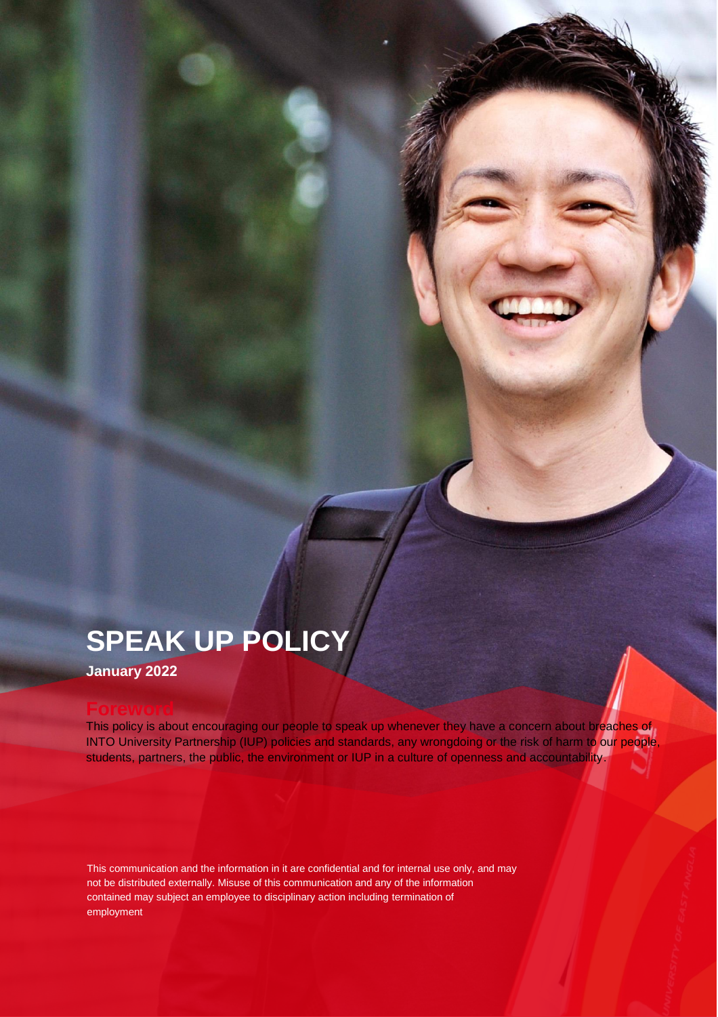# **SPEAK UP POLICY**

**January 2022** 

## **Foreword**

This policy is about encouraging our people to speak up whenever they have a concern about breaches of INTO University Partnership (IUP) policies and standards, any wrongdoing or the risk of harm to our people, students, partners, the public, the environment or IUP in a culture of openness and accountability.

This communication and the information in it are confidential and for internal use only, and may not be distributed externally. Misuse of this communication and any of the information contained may subject an employee to disciplinary action including termination of employment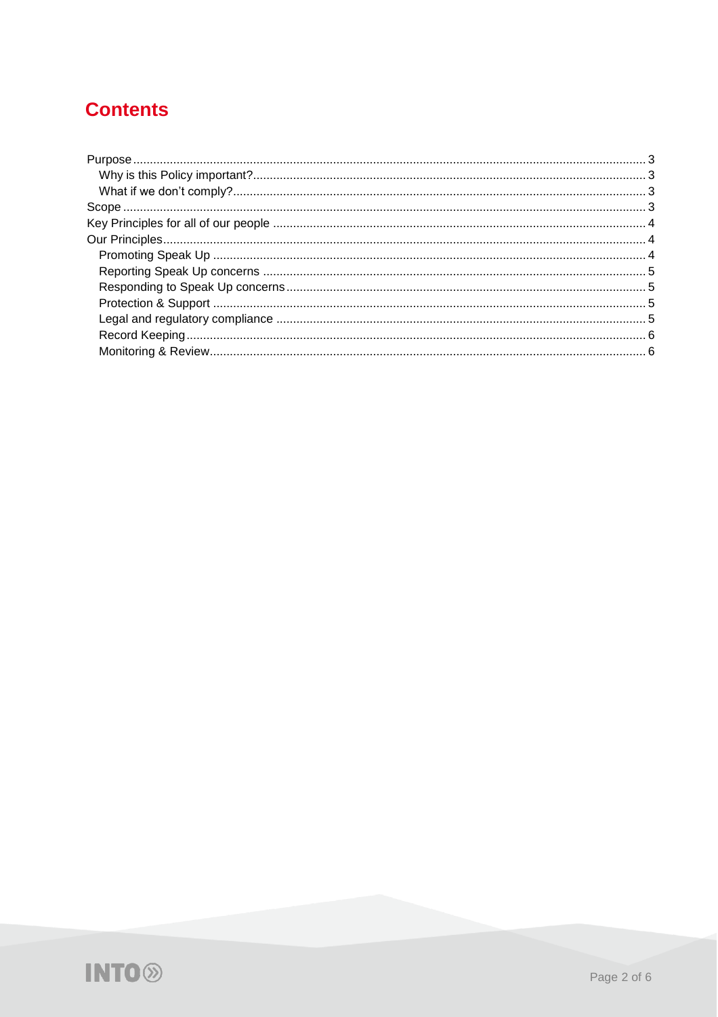## **Contents**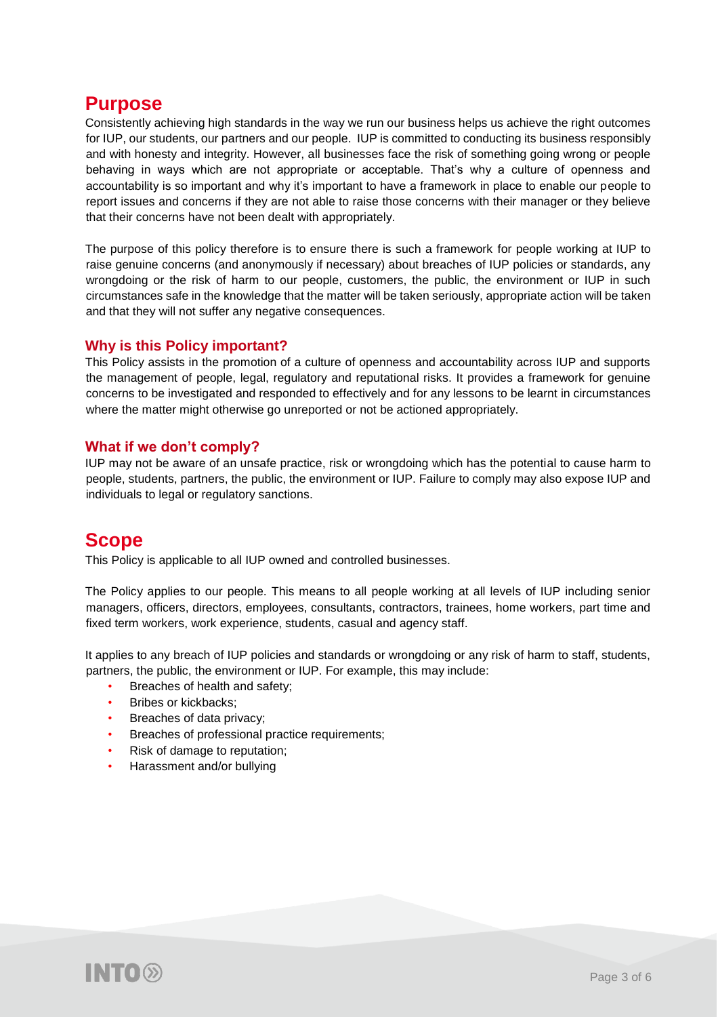## <span id="page-2-0"></span>**Purpose**

Consistently achieving high standards in the way we run our business helps us achieve the right outcomes for IUP, our students, our partners and our people. IUP is committed to conducting its business responsibly and with honesty and integrity. However, all businesses face the risk of something going wrong or people behaving in ways which are not appropriate or acceptable. That's why a culture of openness and accountability is so important and why it's important to have a framework in place to enable our people to report issues and concerns if they are not able to raise those concerns with their manager or they believe that their concerns have not been dealt with appropriately.

The purpose of this policy therefore is to ensure there is such a framework for people working at IUP to raise genuine concerns (and anonymously if necessary) about breaches of IUP policies or standards, any wrongdoing or the risk of harm to our people, customers, the public, the environment or IUP in such circumstances safe in the knowledge that the matter will be taken seriously, appropriate action will be taken and that they will not suffer any negative consequences.

## <span id="page-2-1"></span>**Why is this Policy important?**

This Policy assists in the promotion of a culture of openness and accountability across IUP and supports the management of people, legal, regulatory and reputational risks. It provides a framework for genuine concerns to be investigated and responded to effectively and for any lessons to be learnt in circumstances where the matter might otherwise go unreported or not be actioned appropriately.

### <span id="page-2-2"></span>**What if we don't comply?**

IUP may not be aware of an unsafe practice, risk or wrongdoing which has the potential to cause harm to people, students, partners, the public, the environment or IUP. Failure to comply may also expose IUP and individuals to legal or regulatory sanctions.

## <span id="page-2-3"></span>**Scope**

This Policy is applicable to all IUP owned and controlled businesses.

The Policy applies to our people. This means to all people working at all levels of IUP including senior managers, officers, directors, employees, consultants, contractors, trainees, home workers, part time and fixed term workers, work experience, students, casual and agency staff.

It applies to any breach of IUP policies and standards or wrongdoing or any risk of harm to staff, students, partners, the public, the environment or IUP. For example, this may include:

- Breaches of health and safety;
- Bribes or kickbacks;
- Breaches of data privacy;
- Breaches of professional practice requirements;
- Risk of damage to reputation;
- Harassment and/or bullying

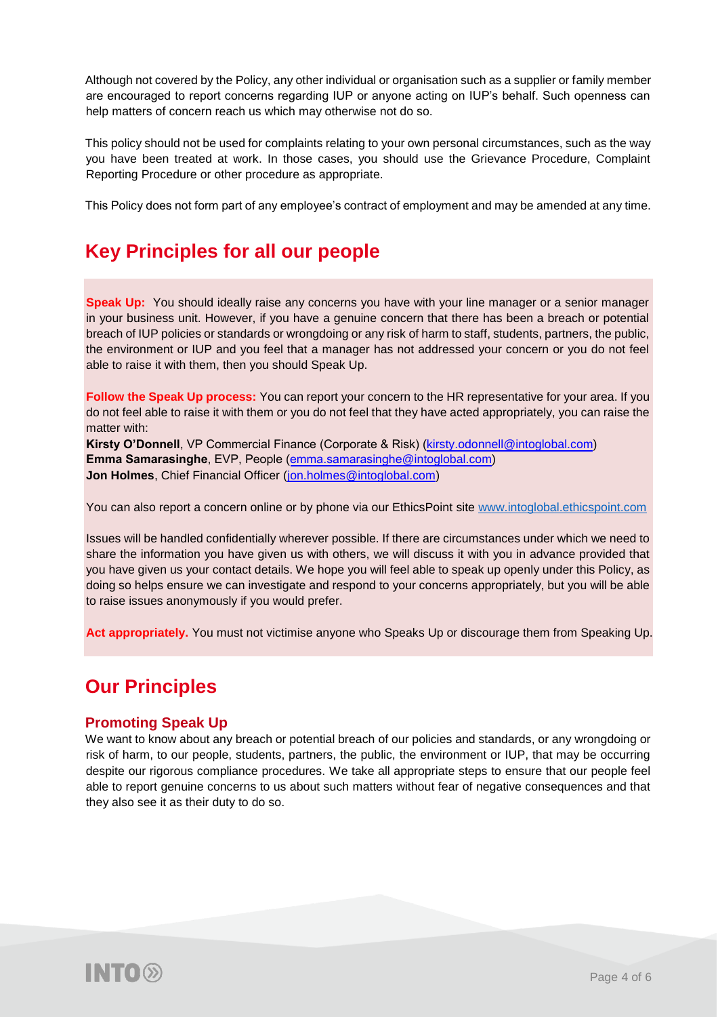Although not covered by the Policy, any other individual or organisation such as a supplier or family member are encouraged to report concerns regarding IUP or anyone acting on IUP's behalf. Such openness can help matters of concern reach us which may otherwise not do so.

This policy should not be used for complaints relating to your own personal circumstances, such as the way you have been treated at work. In those cases, you should use the Grievance Procedure, Complaint Reporting Procedure or other procedure as appropriate.

This Policy does not form part of any employee's contract of employment and may be amended at any time.

## <span id="page-3-0"></span>**Key Principles for all our people**

**Speak Up:** You should ideally raise any concerns you have with your line manager or a senior manager in your business unit. However, if you have a genuine concern that there has been a breach or potential breach of IUP policies or standards or wrongdoing or any risk of harm to staff, students, partners, the public, the environment or IUP and you feel that a manager has not addressed your concern or you do not feel able to raise it with them, then you should Speak Up.

**Follow the Speak Up process:** You can report your concern to the HR representative for your area. If you do not feel able to raise it with them or you do not feel that they have acted appropriately, you can raise the matter with:

**Kirsty O'Donnell**, VP Commercial Finance (Corporate & Risk) (kirsty.odonnell@intoglobal.com) **Emma Samarasinghe**, EVP, People (emma.samarasinghe@intoglobal.com) **Jon Holmes**, Chief Financial Officer (jon.holmes@intoglobal.com)

You can also report a concern online or by phone via our EthicsPoint site [www.intoglobal.ethicspoint.com](http://www.intoglobal.ethicspoint.com/)

Issues will be handled confidentially wherever possible. If there are circumstances under which we need to share the information you have given us with others, we will discuss it with you in advance provided that you have given us your contact details. We hope you will feel able to speak up openly under this Policy, as doing so helps ensure we can investigate and respond to your concerns appropriately, but you will be able to raise issues anonymously if you would prefer.

**Act appropriately.** You must not victimise anyone who Speaks Up or discourage them from Speaking Up.

## <span id="page-3-1"></span>**Our Principles**

### <span id="page-3-2"></span>**Promoting Speak Up**

We want to know about any breach or potential breach of our policies and standards, or any wrongdoing or risk of harm, to our people, students, partners, the public, the environment or IUP, that may be occurring despite our rigorous compliance procedures. We take all appropriate steps to ensure that our people feel able to report genuine concerns to us about such matters without fear of negative consequences and that they also see it as their duty to do so.

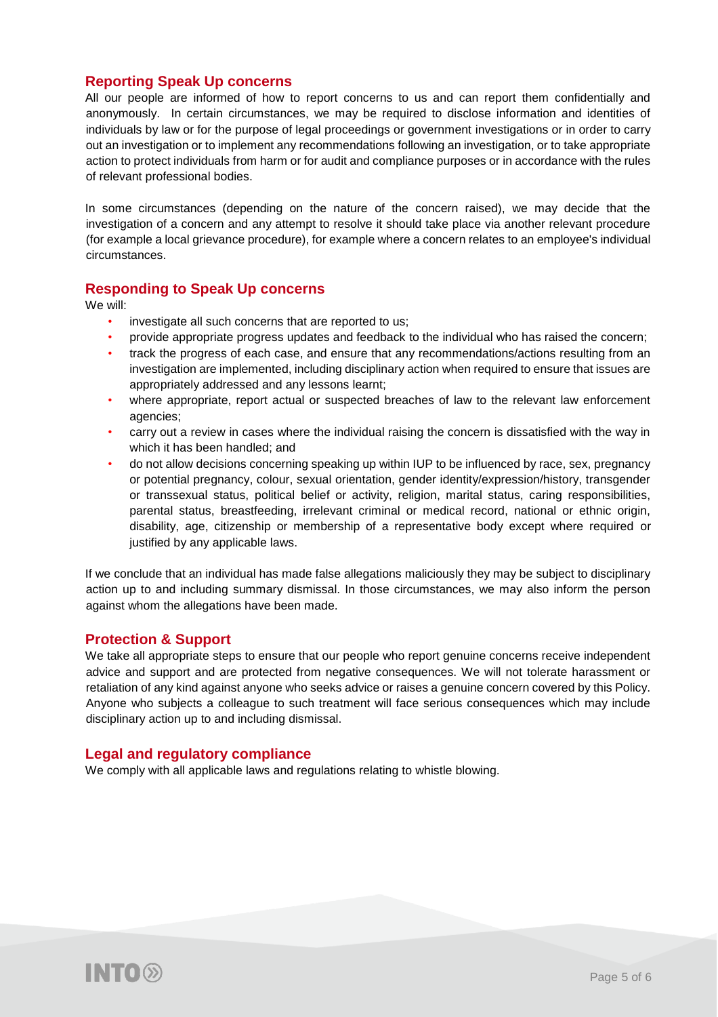### <span id="page-4-0"></span>**Reporting Speak Up concerns**

All our people are informed of how to report concerns to us and can report them confidentially and anonymously. In certain circumstances, we may be required to disclose information and identities of individuals by law or for the purpose of legal proceedings or government investigations or in order to carry out an investigation or to implement any recommendations following an investigation, or to take appropriate action to protect individuals from harm or for audit and compliance purposes or in accordance with the rules of relevant professional bodies.

In some circumstances (depending on the nature of the concern raised), we may decide that the investigation of a concern and any attempt to resolve it should take place via another relevant procedure (for example a local grievance procedure), for example where a concern relates to an employee's individual circumstances.

## <span id="page-4-1"></span>**Responding to Speak Up concerns**

We will:

- investigate all such concerns that are reported to us;
- provide appropriate progress updates and feedback to the individual who has raised the concern;
- track the progress of each case, and ensure that any recommendations/actions resulting from an investigation are implemented, including disciplinary action when required to ensure that issues are appropriately addressed and any lessons learnt;
- where appropriate, report actual or suspected breaches of law to the relevant law enforcement agencies;
- carry out a review in cases where the individual raising the concern is dissatisfied with the way in which it has been handled; and
- do not allow decisions concerning speaking up within IUP to be influenced by race, sex, pregnancy or potential pregnancy, colour, sexual orientation, gender identity/expression/history, transgender or transsexual status, political belief or activity, religion, marital status, caring responsibilities, parental status, breastfeeding, irrelevant criminal or medical record, national or ethnic origin, disability, age, citizenship or membership of a representative body except where required or justified by any applicable laws.

If we conclude that an individual has made false allegations maliciously they may be subject to disciplinary action up to and including summary dismissal. In those circumstances, we may also inform the person against whom the allegations have been made.

### <span id="page-4-2"></span>**Protection & Support**

We take all appropriate steps to ensure that our people who report genuine concerns receive independent advice and support and are protected from negative consequences. We will not tolerate harassment or retaliation of any kind against anyone who seeks advice or raises a genuine concern covered by this Policy. Anyone who subjects a colleague to such treatment will face serious consequences which may include disciplinary action up to and including dismissal.

### <span id="page-4-3"></span>**Legal and regulatory compliance**

We comply with all applicable laws and regulations relating to whistle blowing.